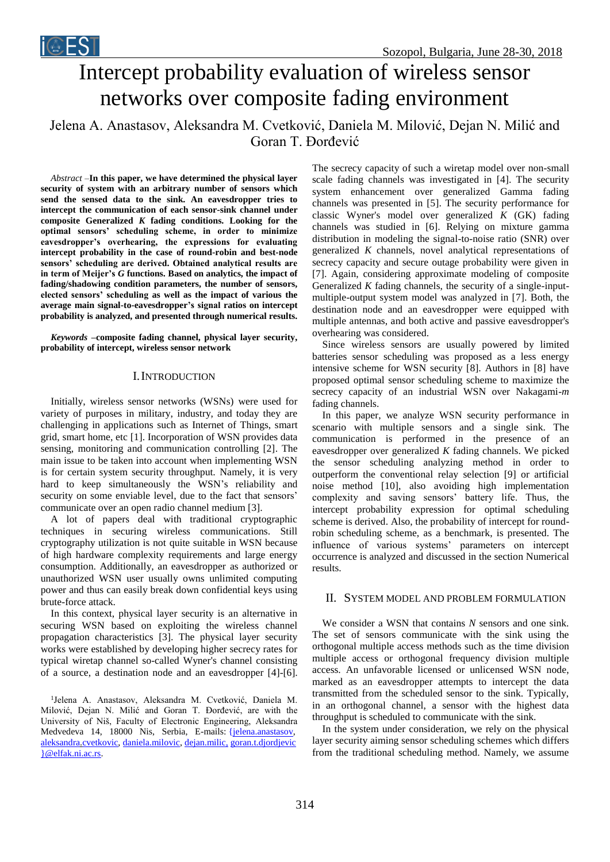

# Intercept probability evaluation of wireless sensor networks over composite fading environment

Jelena A. Anastasov, Aleksandra M. Cvetković, Daniela M. Milović, Dejan N. Milić and Goran T. Đorđević

*Abstract –***In this paper, we have determined the physical layer security of system with an arbitrary number of sensors which send the sensed data to the sink. An eavesdropper tries to intercept the communication of each sensor-sink channel under composite Generalized** *K* **fading conditions. Looking for the optimal sensors' scheduling scheme, in order to minimize eavesdropper's overhearing, the expressions for evaluating intercept probability in the case of round-robin and best-node sensors' scheduling are derived. Obtained analytical results are in term of Meijer's** *G* **functions. Based on analytics, the impact of fading/shadowing condition parameters, the number of sensors, elected sensors' scheduling as well as the impact of various the average main signal-to-eavesdropper's signal ratios on intercept probability is analyzed, and presented through numerical results.**

*Keywords –***composite fading channel, physical layer security, probability of intercept, wireless sensor network**

# **I. INTRODUCTION**

Initially, wireless sensor networks (WSNs) were used for variety of purposes in military, industry, and today they are challenging in applications such as Internet of Things, smart grid, smart home, etc [1]. Incorporation of WSN provides data sensing, monitoring and communication controlling [2]. The main issue to be taken into account when implementing WSN is for certain system security throughput. Namely, it is very hard to keep simultaneously the WSN's reliability and security on some enviable level, due to the fact that sensors' communicate over an open radio channel medium [3].

A lot of papers deal with traditional cryptographic techniques in securing wireless communications. Still cryptography utilization is not quite suitable in WSN because of high hardware complexity requirements and large energy consumption. Additionally, an eavesdropper as authorized or unauthorized WSN user usually owns unlimited computing power and thus can easily break down confidential keys using brute-force attack.

In this context, physical layer security is an alternative in securing WSN based on exploiting the wireless channel propagation characteristics [3]. The physical layer security works were established by developing higher secrecy rates for typical wiretap channel so-called Wyner's channel consisting of a source, a destination node and an eavesdropper [4]-[6].

1 Jelena A. Anastasov, Aleksandra M. Cvetković, Daniela M. Milović, Dejan N. Milić and Goran T. Đorđević, are with the University of Niš, Faculty of Electronic Engineering, Aleksandra Medvedeva 14, 18000 Nis, Serbia, E-mails: {jelena.anastasov, aleksandra.cvetkovic, daniela.milovic, dejan.milic, [goran.t.djordjevic](mailto:dejan.milic,%20goran.t.djordjevic%7d@elfak.ni.ac.rs) [}@elfak.ni.ac.rs.](mailto:dejan.milic,%20goran.t.djordjevic%7d@elfak.ni.ac.rs)

The secrecy capacity of such a wiretap model over non-small scale fading channels was investigated in [4]. The security system enhancement over generalized Gamma fading channels was presented in [5]. The security performance for classic Wyner's model over generalized *K* (GK) fading channels was studied in [6]. Relying on mixture gamma distribution in modeling the signal-to-noise ratio (SNR) over generalized *K* channels, novel analytical representations of secrecy capacity and secure outage probability were given in [7]. Again, considering approximate modeling of composite Generalized *K* fading channels, the security of a single-inputmultiple-output system model was analyzed in [7]. Both, the destination node and an eavesdropper were equipped with multiple antennas, and both active and passive eavesdropper's overhearing was considered.

Since wireless sensors are usually powered by limited batteries sensor scheduling was proposed as a less energy intensive scheme for WSN security [8]. Authors in [8] have proposed optimal sensor scheduling scheme to maximize the secrecy capacity of an industrial WSN over Nakagami-*m* fading channels.

In this paper, we analyze WSN security performance in scenario with multiple sensors and a single sink. The communication is performed in the presence of an eavesdropper over generalized *K* fading channels. We picked the sensor scheduling analyzing method in order to outperform the conventional relay selection [9] or artificial noise method [10], also avoiding high implementation complexity and saving sensors' battery life. Thus, the intercept probability expression for optimal scheduling scheme is derived. Also, the probability of intercept for roundrobin scheduling scheme, as a benchmark, is presented. The influence of various systems' parameters on intercept occurrence is analyzed and discussed in the section Numerical results.

## II. SYSTEM MODEL AND PROBLEM FORMULATION

We consider a WSN that contains *N* sensors and one sink. The set of sensors communicate with the sink using the orthogonal multiple access methods such as the time division multiple access or orthogonal frequency division multiple access. An unfavorable licensed or unlicensed WSN node, marked as an eavesdropper attempts to intercept the data transmitted from the scheduled sensor to the sink. Typically, in an orthogonal channel, a sensor with the highest data throughput is scheduled to communicate with the sink.

In the system under consideration, we rely on the physical layer security aiming sensor scheduling schemes which differs from the traditional scheduling method. Namely, we assume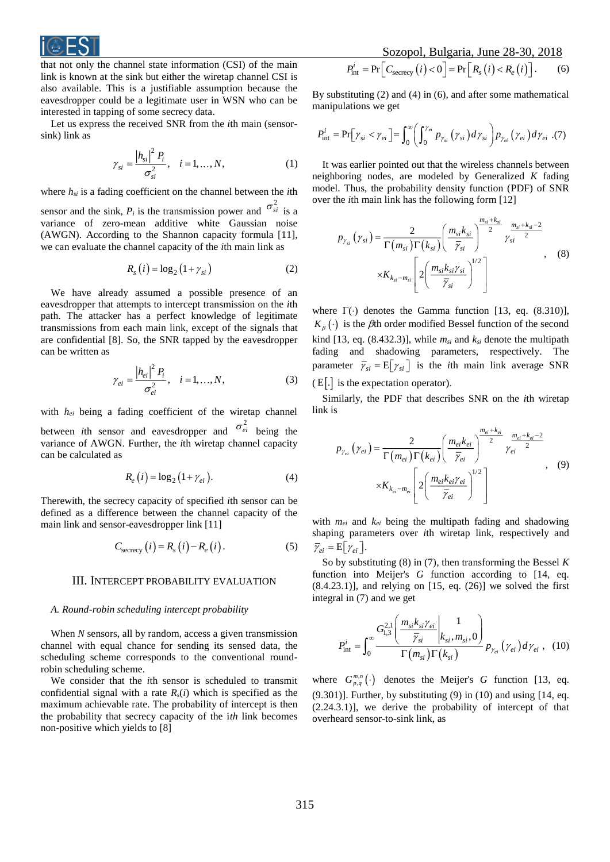

that not only the channel state information (CSI) of the main link is known at the sink but either the wiretap channel CSI is also available. This is a justifiable assumption because the eavesdropper could be a legitimate user in WSN who can be interested in tapping of some secrecy data.

Let us express the received SNR from the *i*th main (sensorsink) link as

$$
\gamma_{si} = \frac{|h_{si}|^2 P_i}{\sigma_{si}^2}, \quad i = 1, ..., N,
$$
\n(1)

where  $h_{si}$  is a fading coefficient on the channel between the *i*th

sensor and the sink,  $P_i$  is the transmission power and  $\sigma_{si}^2$  is a variance of zero-mean additive white Gaussian noise (AWGN). According to the Shannon capacity formula [11], we can evaluate the channel capacity of the *i*th main link as

$$
R_s(i) = \log_2\left(1 + \gamma_{si}\right) \tag{2}
$$

We have already assumed a possible presence of an eavesdropper that attempts to intercept transmission on the *i*th path. The attacker has a perfect knowledge of legitimate transmissions from each main link, except of the signals that are confidential [8]. So, the SNR tapped by the eavesdropper can be written as

$$
\gamma_{ei} = \frac{|h_{ei}|^2 P_i}{\sigma_{ei}^2}, \quad i = 1, ..., N,
$$
\n(3)

with *hei* being a fading coefficient of the wiretap channel between *i*th sensor and eavesdropper and  $\sigma_{ei}^2$  being the variance of AWGN. Further, the *i*th wiretap channel capacity can be calculated as

$$
R_e(i) = \log_2(1 + \gamma_{ei}).\tag{4}
$$

Therewith, the secrecy capacity of specified *i*th sensor can be defined as a difference between the channel capacity of the main link and sensor-eavesdropper link [11]

$$
C_{\text{secrecy}}(i) = R_s(i) - R_e(i). \tag{5}
$$

#### III. INTERCEPT PROBABILITY EVALUATION

## *A. Round-robin scheduling intercept probability*

When *N* sensors, all by random, access a given transmission channel with equal chance for sending its sensed data, the scheduling scheme corresponds to the conventional roundrobin scheduling scheme.

We consider that the *i*th sensor is scheduled to transmit confidential signal with a rate  $R_s(i)$  which is specified as the maximum achievable rate. The probability of intercept is then the probability that secrecy capacity of the i*th* link becomes non-positive which yields to [8]

By substituting (2) and (4) in (6), and after some mathematical manipulations we get

$$
P_{\rm int}^i = \Pr[\gamma_{si} < \gamma_{ei}] = \int_0^\infty \left( \int_0^{\gamma_{ei}} p_{\gamma_{si}}(\gamma_{si}) d\gamma_{si} \right) p_{\gamma_{ei}}(\gamma_{ei}) d\gamma_{ei} \tag{7}
$$

It was earlier pointed out that the wireless channels between neighboring nodes, are modeled by Generalized *K* fading model. Thus, the probability density function (PDF) of SNR over the *i*th main link has the following form [12]

$$
p_{\gamma_{si}}\left(\gamma_{si}\right) = \frac{2}{\Gamma\left(m_{si}\right)\Gamma\left(k_{si}\right)} \left(\frac{m_{si}k_{si}}{\overline{\gamma}_{si}}\right)^{\frac{m_{si}+k_{si}}{2}} \gamma_{si}^{\frac{m_{si}+k_{si}-2}{2}} \\ \times K_{k_{si}-m_{si}} \left[2\left(\frac{m_{si}k_{si}\gamma_{si}}{\overline{\gamma}_{si}}\right)^{1/2}\right] \qquad , \qquad (8)
$$

where  $\Gamma(\cdot)$  denotes the Gamma function [13, eq. (8.310)],  $K_{\beta}(\cdot)$  is the *f*th order modified Bessel function of the second kind [13, eq. (8.432.3)], while *msi* and *ksi* denote the multipath fading and shadowing parameters, respectively. The parameter  $\overline{\gamma}_{si} = E[\gamma_{si}]$  is the *i*th main link average SNR  $(E[.]$  is the expectation operator).

Similarly, the PDF that describes SNR on the *i*th wiretap link is

$$
p_{\gamma_{ei}}\left(\gamma_{ei}\right) = \frac{2}{\Gamma\left(m_{ei}\right)\Gamma\left(k_{ei}\right)} \left(\frac{m_{ei}k_{ei}}{\overline{\gamma}_{ei}}\right)^{\frac{m_{ei}+k_{ei}}{2}} \gamma_{ei}^{\frac{m_{ei}+k_{ei}-2}{2}},\tag{9}
$$

$$
\times K_{k_{ei}-m_{ei}} \left[2\left(\frac{m_{ei}k_{ei}\gamma_{ei}}{\overline{\gamma}_{ei}}\right)^{1/2}\right]
$$

with *mei* and *kei* being the multipath fading and shadowing shaping parameters over *i*th wiretap link, respectively and  $\overline{\gamma}_{ei} = E[\gamma_{ei}].$ 

So by substituting (8) in (7), then transforming the Bessel *K* function into Meijer's *G* function according to [14, eq.  $(8.4.23.1)$ ], and relying on [15, eq.  $(26)$ ] we solved the first integral in (7) and we get

$$
P_{\text{int}}^{i} = \int_{0}^{\infty} \frac{G_{1,3}^{2,1} \left( \frac{m_{si} k_{si} \gamma_{ei}}{\overline{\gamma}_{si}} \bigg|_{k_{si}, m_{si}, 0} \right)}{\Gamma(m_{si}) \Gamma(k_{si})} p_{\gamma_{ei}} \left( \gamma_{ei} \right) d \gamma_{ei} , \quad (10)
$$

where  $G_{p,q}^{m,n}(\cdot)$  denotes the Meijer's *G* function [13, eq.  $(9.301)$ ]. Further, by substituting  $(9)$  in  $(10)$  and using  $[14, eq.$ (2.24.3.1)], we derive the probability of intercept of that overheard sensor-to-sink link, as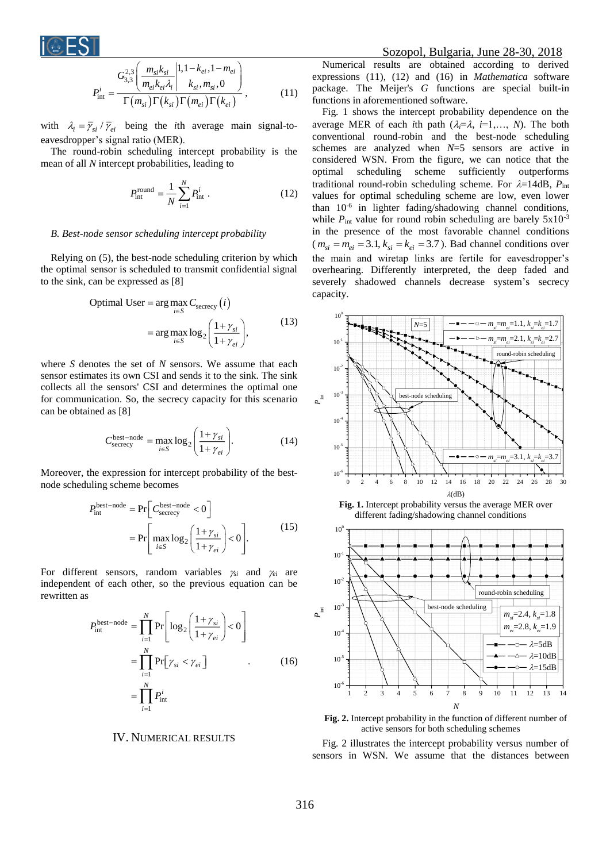

$$
P_{\text{int}}^{i} = \frac{G_{3,3}^{2,3} \left( \frac{m_{si} k_{si}}{m_{ei} k_{ei} \lambda_{i}} \middle| 1, 1 - k_{ei}, 1 - m_{ei} \right)}{\Gamma(m_{si}) \Gamma(k_{si}) \Gamma(m_{ei}) \Gamma(k_{ei})}, \qquad (11)
$$

with  $\lambda_i = \overline{\gamma}_{si} / \overline{\gamma}_{ei}$  being the *i*th average main signal-toeavesdropper's signal ratio (MER).

The round-robin scheduling intercept probability is the mean of all *N* intercept probabilities, leading to

$$
P_{\text{int}}^{\text{round}} = \frac{1}{N} \sum_{i=1}^{N} P_{\text{int}}^{i} . \tag{12}
$$

#### *B. Best-node sensor scheduling intercept probability*

Relying on (5), the best-node scheduling criterion by which the optimal sensor is scheduled to transmit confidential signal to the sink, can be expressed as [8]

Optimal User = arg max<sub>*i*∈S</sub> 
$$
C_{\text{secrecy}}(i)
$$
  
= arg max  $\log_2 \left( \frac{1 + \gamma_{si}}{1 + \gamma_{ei}} \right)$ , (13)

where *S* denotes the set of *N* sensors. We assume that each sensor estimates its own CSI and sends it to the sink. The sink collects all the sensors' CSI and determines the optimal one for communication. So, the secrecy capacity for this scenario can be obtained as [8]

$$
C_{\text{secret}}^{\text{best-node}} = \max_{i \in S} \log_2 \left( \frac{1 + \gamma_{si}}{1 + \gamma_{ei}} \right). \tag{14}
$$

Moreover, the expression for intercept probability of the bestnode scheduling scheme becomes

$$
P_{\text{int}}^{\text{best-node}} = \Pr\left[C_{\text{secret}}^{\text{best-node}} < 0\right]
$$
\n
$$
= \Pr\left[\max_{i \in S} \log_2 \left(\frac{1 + \gamma_{si}}{1 + \gamma_{ei}}\right) < 0\right].\tag{15}
$$

For different sensors, random variables  $\gamma_{si}$  and  $\gamma_{ei}$  are independent of each other, so the previous equation can be rewritten as

$$
P_{\text{int}}^{\text{best-node}} = \prod_{i=1}^{N} \Pr\left[ \log_2 \left( \frac{1 + \gamma_{si}}{1 + \gamma_{ei}} \right) < 0 \right]
$$
\n
$$
= \prod_{i=1}^{N} \Pr\left[\gamma_{si} < \gamma_{ei}\right] \tag{16}
$$
\n
$$
= \prod_{i=1}^{N} P_{\text{int}}^{i}
$$

# IV. NUMERICAL RESULTS

## Sozopol, Bulgaria, June 28-30, 2018

Numerical results are obtained according to derived expressions (11), (12) and (16) in *Mathematica* software package. The Meijer's *G* functions are special built-in functions in aforementioned software.

Fig. 1 shows the intercept probability dependence on the average MER of each *i*th path  $(\lambda_i = \lambda, i = 1, \ldots, N)$ . The both conventional round-robin and the best-node scheduling schemes are analyzed when *N*=5 sensors are active in considered WSN. From the figure, we can notice that the optimal scheduling scheme sufficiently outperforms traditional round-robin scheduling scheme. For  $\lambda = 14$ dB,  $P_{int}$ values for optimal scheduling scheme are low, even lower than 10<sup>-6</sup> in lighter fading/shadowing channel conditions, while  $P_{int}$  value for round robin scheduling are barely  $5x10^{-3}$ in the presence of the most favorable channel conditions  $(m_{si} = m_{ei} = 3.1, k_{si} = k_{ei} = 3.7)$ . Bad channel conditions over the main and wiretap links are fertile for eavesdropper's overhearing. Differently interpreted, the deep faded and severely shadowed channels decrease system's secrecy capacity.



**Fig. 1.** Intercept probability versus the average MER over different fading/shadowing channel conditions



**Fig. 2.** Intercept probability in the function of different number of active sensors for both scheduling schemes

Fig. 2 illustrates the intercept probability versus number of sensors in WSN. We assume that the distances between